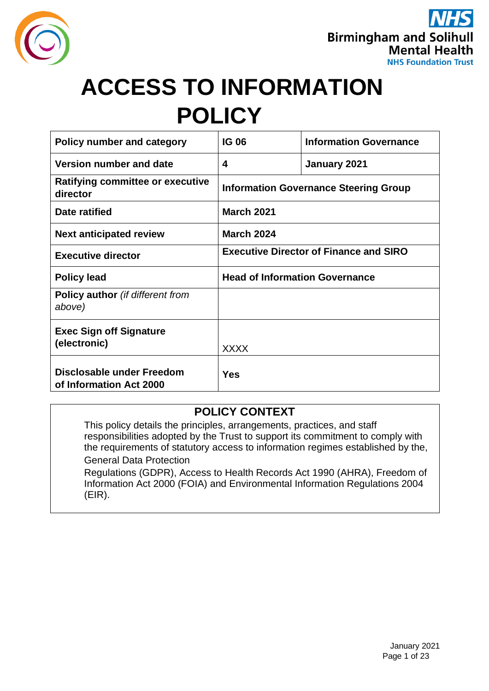



# **ACCESS TO INFORMATION POLICY**

| <b>Policy number and category</b>                    | <b>IG 06</b>                                  | <b>Information Governance</b> |  |
|------------------------------------------------------|-----------------------------------------------|-------------------------------|--|
| Version number and date                              | 4                                             | January 2021                  |  |
| <b>Ratifying committee or executive</b><br>director  | <b>Information Governance Steering Group</b>  |                               |  |
| Date ratified                                        | <b>March 2021</b>                             |                               |  |
| <b>Next anticipated review</b>                       | <b>March 2024</b>                             |                               |  |
| <b>Executive director</b>                            | <b>Executive Director of Finance and SIRO</b> |                               |  |
| <b>Policy lead</b>                                   | <b>Head of Information Governance</b>         |                               |  |
| <b>Policy author</b> (if different from<br>above)    |                                               |                               |  |
| <b>Exec Sign off Signature</b><br>(electronic)       | <b>XXXX</b>                                   |                               |  |
| Disclosable under Freedom<br>of Information Act 2000 | Yes                                           |                               |  |

### **POLICY CONTEXT**

This policy details the principles, arrangements, practices, and staff responsibilities adopted by the Trust to support its commitment to comply with the requirements of statutory access to information regimes established by the, General Data Protection Regulations (GDPR), Access to Health Records Act 1990 (AHRA), Freedom of Information Act 2000 (FOIA) and Environmental Information Regulations 2004

(EIR).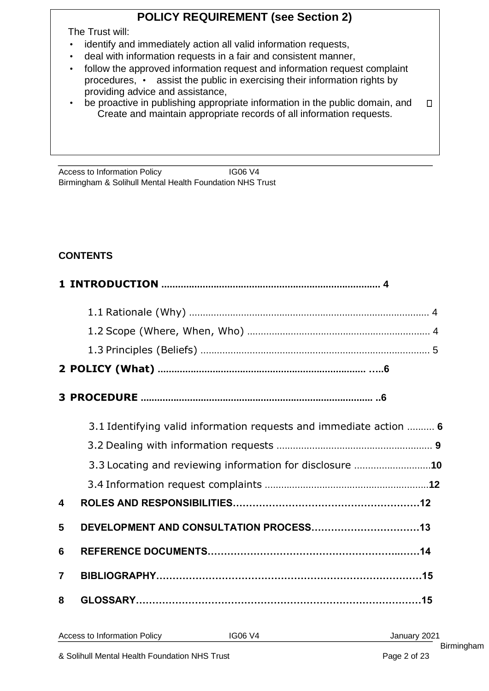# **POLICY REQUIREMENT (see Section 2)**

The Trust will:

- identify and immediately action all valid information requests,
- deal with information requests in a fair and consistent manner,
- follow the approved information request and information request complaint procedures, • assist the public in exercising their information rights by providing advice and assistance,
- be proactive in publishing appropriate information in the public domain, and  $\Box$ Create and maintain appropriate records of all information requests.

Access to Information Policy **IG06 V4** Birmingham & Solihull Mental Health Foundation NHS Trust

# **CONTENTS**

|                         | 3.1 Identifying valid information requests and immediate action  6 |
|-------------------------|--------------------------------------------------------------------|
|                         |                                                                    |
|                         | 3.3 Locating and reviewing information for disclosure 10           |
|                         |                                                                    |
| $\overline{\mathbf{4}}$ |                                                                    |
| 5                       |                                                                    |
| 6                       |                                                                    |
| $\overline{7}$          |                                                                    |
| 8                       |                                                                    |
|                         |                                                                    |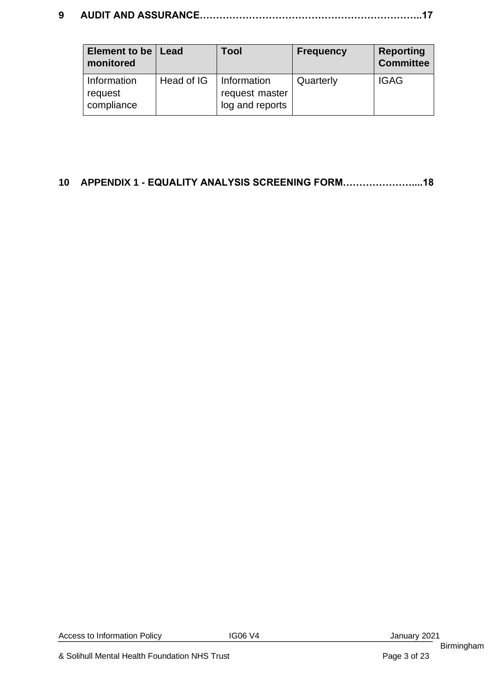# **9 AUDIT AND ASSURANCE…………………………………………………………..17**

| Element to be   Lead<br>monitored |            | Tool            | <b>Frequency</b> | <b>Reporting</b><br><b>Committee</b> |
|-----------------------------------|------------|-----------------|------------------|--------------------------------------|
| Information                       | Head of IG | Information     | Quarterly        | <b>IGAG</b>                          |
| request                           |            | request master  |                  |                                      |
| compliance                        |            | log and reports |                  |                                      |

# **10 APPENDIX 1 - EQUALITY ANALYSIS SCREENING FORM…………………....18**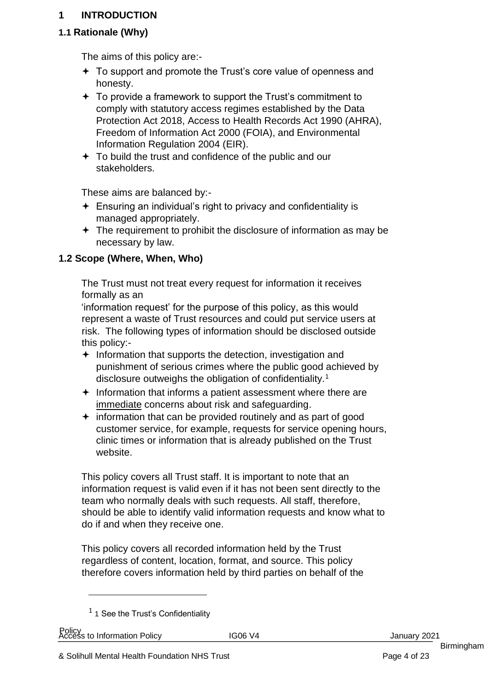#### **1 INTRODUCTION**

# **1.1 Rationale (Why)**

The aims of this policy are:-

- To support and promote the Trust's core value of openness and honesty.
- $\div$  To provide a framework to support the Trust's commitment to comply with statutory access regimes established by the Data Protection Act 2018, Access to Health Records Act 1990 (AHRA), Freedom of Information Act 2000 (FOIA), and Environmental Information Regulation 2004 (EIR).
- $\div$  To build the trust and confidence of the public and our stakeholders.

These aims are balanced by:-

- $\div$  Ensuring an individual's right to privacy and confidentiality is managed appropriately.
- $\div$  The requirement to prohibit the disclosure of information as may be necessary by law.

# **1.2 Scope (Where, When, Who)**

The Trust must not treat every request for information it receives formally as an

'information request' for the purpose of this policy, as this would represent a waste of Trust resources and could put service users at risk. The following types of information should be disclosed outside this policy:-

- $\div$  Information that supports the detection, investigation and punishment of serious crimes where the public good achieved by disclosure outweighs the obligation of confidentiality.<sup>1</sup>
- $\div$  Information that informs a patient assessment where there are immediate concerns about risk and safeguarding.
- $\div$  information that can be provided routinely and as part of good customer service, for example, requests for service opening hours, clinic times or information that is already published on the Trust website.

This policy covers all Trust staff. It is important to note that an information request is valid even if it has not been sent directly to the team who normally deals with such requests. All staff, therefore, should be able to identify valid information requests and know what to do if and when they receive one.

This policy covers all recorded information held by the Trust regardless of content, location, format, and source. This policy therefore covers information held by third parties on behalf of the

 $<sup>1</sup>$  1 See the Trust's Confidentiality</sup>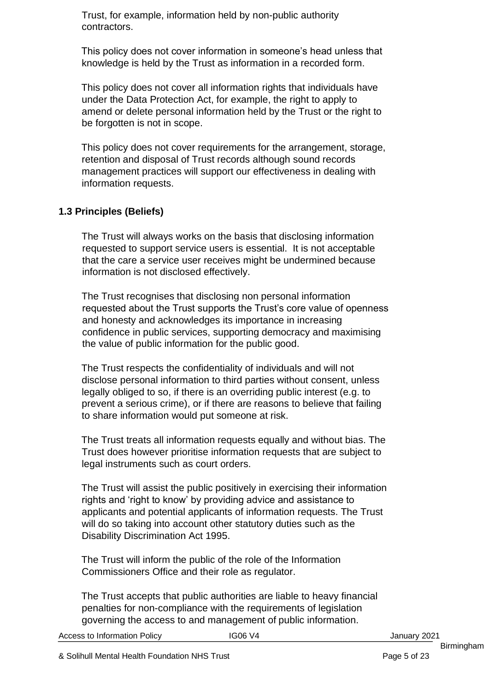Trust, for example, information held by non-public authority contractors.

This policy does not cover information in someone's head unless that knowledge is held by the Trust as information in a recorded form.

This policy does not cover all information rights that individuals have under the Data Protection Act, for example, the right to apply to amend or delete personal information held by the Trust or the right to be forgotten is not in scope.

This policy does not cover requirements for the arrangement, storage, retention and disposal of Trust records although sound records management practices will support our effectiveness in dealing with information requests.

### **1.3 Principles (Beliefs)**

The Trust will always works on the basis that disclosing information requested to support service users is essential. It is not acceptable that the care a service user receives might be undermined because information is not disclosed effectively.

The Trust recognises that disclosing non personal information requested about the Trust supports the Trust's core value of openness and honesty and acknowledges its importance in increasing confidence in public services, supporting democracy and maximising the value of public information for the public good.

The Trust respects the confidentiality of individuals and will not disclose personal information to third parties without consent, unless legally obliged to so, if there is an overriding public interest (e.g. to prevent a serious crime), or if there are reasons to believe that failing to share information would put someone at risk.

The Trust treats all information requests equally and without bias. The Trust does however prioritise information requests that are subject to legal instruments such as court orders.

The Trust will assist the public positively in exercising their information rights and 'right to know' by providing advice and assistance to applicants and potential applicants of information requests. The Trust will do so taking into account other statutory duties such as the Disability Discrimination Act 1995.

The Trust will inform the public of the role of the Information Commissioners Office and their role as regulator.

The Trust accepts that public authorities are liable to heavy financial penalties for non-compliance with the requirements of legislation governing the access to and management of public information.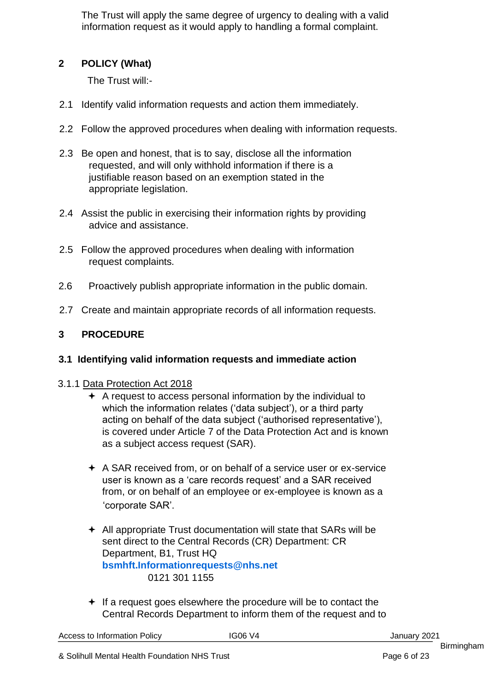The Trust will apply the same degree of urgency to dealing with a valid information request as it would apply to handling a formal complaint.

# **2 POLICY (What)**

The Trust will:-

- 2.1 Identify valid information requests and action them immediately.
- 2.2 Follow the approved procedures when dealing with information requests.
- 2.3 Be open and honest, that is to say, disclose all the information requested, and will only withhold information if there is a justifiable reason based on an exemption stated in the appropriate legislation.
- 2.4 Assist the public in exercising their information rights by providing advice and assistance.
- 2.5 Follow the approved procedures when dealing with information request complaints.
- 2.6 Proactively publish appropriate information in the public domain.
- 2.7 Create and maintain appropriate records of all information requests.

# **3 PROCEDURE**

### **3.1 Identifying valid information requests and immediate action**

### 3.1.1 Data Protection Act 2018

- $\div$  A request to access personal information by the individual to which the information relates ('data subject'), or a third party acting on behalf of the data subject ('authorised representative'), is covered under Article 7 of the Data Protection Act and is known as a subject access request (SAR).
- A SAR received from, or on behalf of a service user or ex-service user is known as a 'care records request' and a SAR received from, or on behalf of an employee or ex-employee is known as a 'corporate SAR'.
- $\div$  All appropriate Trust documentation will state that SARs will be sent direct to the Central Records (CR) Department: CR Department, B1, Trust HQ **bsmhft.Informationrequests@nhs.net** 0121 301 1155
- If a request goes elsewhere the procedure will be to contact the Central Records Department to inform them of the request and to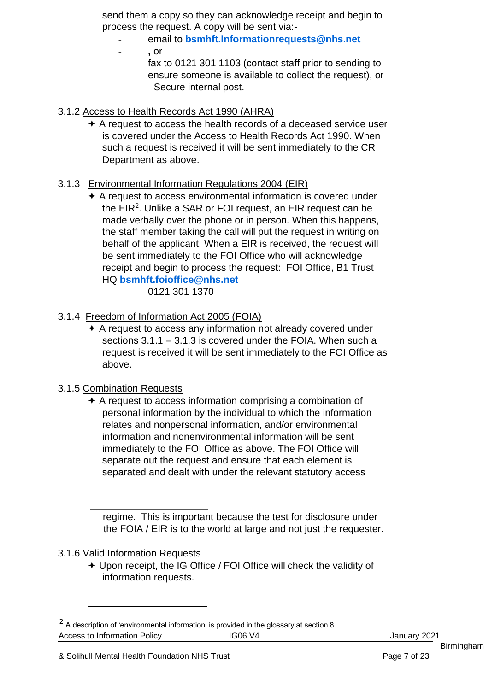send them a copy so they can acknowledge receipt and begin to process the request. A copy will be sent via:-

#### - email to **bsmhft.Informationrequests@nhs.net**

- **,** or
- fax to 0121 301 1103 (contact staff prior to sending to ensure someone is available to collect the request), or - Secure internal post.

#### 3.1.2 Access to Health Records Act 1990 (AHRA)

 A request to access the health records of a deceased service user is covered under the Access to Health Records Act 1990. When such a request is received it will be sent immediately to the CR Department as above.

#### 3.1.3 Environmental Information Regulations 2004 (EIR)

 A request to access environmental information is covered under the EIR<sup>2</sup>. Unlike a SAR or FOI request, an EIR request can be made verbally over the phone or in person. When this happens, the staff member taking the call will put the request in writing on behalf of the applicant. When a EIR is received, the request will be sent immediately to the FOI Office who will acknowledge receipt and begin to process the request: FOI Office, B1 Trust HQ **bsmhft.foioffice@nhs.net**

0121 301 1370

- 3.1.4 Freedom of Information Act 2005 (FOIA)
	- A request to access any information not already covered under sections 3.1.1 – 3.1.3 is covered under the FOIA. When such a request is received it will be sent immediately to the FOI Office as above.

#### 3.1.5 Combination Requests

 $\div$  A request to access information comprising a combination of personal information by the individual to which the information relates and nonpersonal information, and/or environmental information and nonenvironmental information will be sent immediately to the FOI Office as above. The FOI Office will separate out the request and ensure that each element is separated and dealt with under the relevant statutory access

regime. This is important because the test for disclosure under the FOIA / EIR is to the world at large and not just the requester.

#### 3.1.6 Valid Information Requests

 Upon receipt, the IG Office / FOI Office will check the validity of information requests.

Access to Information Policy **IG06 V4** IG06 V4 January 2021  $2$  A description of 'environmental information' is provided in the glossary at section 8.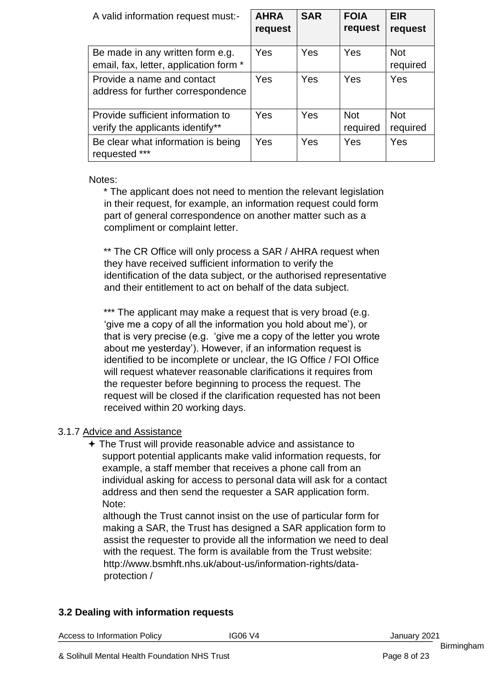| A valid information request must:-                                         | <b>AHRA</b><br>request | <b>SAR</b> | <b>FOIA</b><br>request | <b>EIR</b><br>request  |
|----------------------------------------------------------------------------|------------------------|------------|------------------------|------------------------|
| Be made in any written form e.g.<br>email, fax, letter, application form * | Yes                    | Yes        | Yes                    | <b>Not</b><br>required |
| Provide a name and contact<br>address for further correspondence           | Yes                    | Yes        | Yes                    | Yes                    |
| Provide sufficient information to<br>verify the applicants identify**      | Yes                    | Yes        | <b>Not</b><br>required | <b>Not</b><br>required |
| Be clear what information is being<br>requested ***                        | Yes                    | Yes        | Yes                    | Yes                    |

#### Notes:

\* The applicant does not need to mention the relevant legislation in their request, for example, an information request could form part of general correspondence on another matter such as a compliment or complaint letter.

\*\* The CR Office will only process a SAR / AHRA request when they have received sufficient information to verify the identification of the data subject, or the authorised representative and their entitlement to act on behalf of the data subject.

\*\*\* The applicant may make a request that is very broad (e.g. 'give me a copy of all the information you hold about me'), or that is very precise (e.g. 'give me a copy of the letter you wrote about me yesterday'). However, if an information request is identified to be incomplete or unclear, the IG Office / FOI Office will request whatever reasonable clarifications it requires from the requester before beginning to process the request. The request will be closed if the clarification requested has not been received within 20 working days.

#### 3.1.7 Advice and Assistance

 The Trust will provide reasonable advice and assistance to support potential applicants make valid information requests, for example, a staff member that receives a phone call from an individual asking for access to personal data will ask for a contact address and then send the requester a SAR application form. Note:

although the Trust cannot insist on the use of particular form for making a SAR, the Trust has designed a SAR application form to assist the requester to provide all the information we need to deal with the request. The form is available from the Trust website: [http://www.bsmhft.nhs.uk/about-us/information-rights/data](http://www.bsmhft.nhs.uk/about-us/information-rights/data-protection%20/)[protection /](http://www.bsmhft.nhs.uk/about-us/information-rights/data-protection%20/) 

#### **3.2 Dealing with information requests**

|  |  | <b>Access to Information Policy</b> |  |
|--|--|-------------------------------------|--|
|--|--|-------------------------------------|--|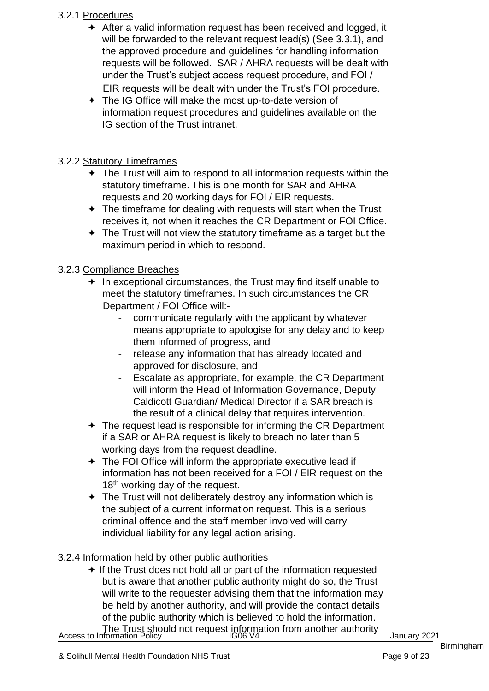#### 3.2.1 Procedures

- After a valid information request has been received and logged, it will be forwarded to the relevant request lead(s) (See 3.3.1), and the approved procedure and guidelines for handling information requests will be followed. SAR / AHRA requests will be dealt with under the Trust's subject access request procedure, and FOI / EIR requests will be dealt with under the Trust's FOI procedure.
- The IG Office will make the most up-to-date version of information request procedures and guidelines available on the IG section of the Trust intranet.

#### 3.2.2 Statutory Timeframes

- $\div$  The Trust will aim to respond to all information requests within the statutory timeframe. This is one month for SAR and AHRA requests and 20 working days for FOI / EIR requests.
- $\div$  The timeframe for dealing with requests will start when the Trust receives it, not when it reaches the CR Department or FOI Office.
- $\div$  The Trust will not view the statutory timeframe as a target but the maximum period in which to respond.

#### 3.2.3 Compliance Breaches

- $+$  In exceptional circumstances, the Trust may find itself unable to meet the statutory timeframes. In such circumstances the CR Department / FOI Office will:
	- communicate regularly with the applicant by whatever means appropriate to apologise for any delay and to keep them informed of progress, and
	- release any information that has already located and approved for disclosure, and
	- Escalate as appropriate, for example, the CR Department will inform the Head of Information Governance, Deputy Caldicott Guardian/ Medical Director if a SAR breach is the result of a clinical delay that requires intervention.
- $\div$  The request lead is responsible for informing the CR Department if a SAR or AHRA request is likely to breach no later than 5 working days from the request deadline.
- The FOI Office will inform the appropriate executive lead if information has not been received for a FOI / EIR request on the 18<sup>th</sup> working day of the request.
- $\div$  The Trust will not deliberately destroy any information which is the subject of a current information request. This is a serious criminal offence and the staff member involved will carry individual liability for any legal action arising.

#### 3.2.4 Information held by other public authorities

 $+$  If the Trust does not hold all or part of the information requested but is aware that another public authority might do so, the Trust will write to the requester advising them that the information may be held by another authority, and will provide the contact details of the public authority which is believed to hold the information.

The Trust should not request information from another authority<br>January 2021 January 2021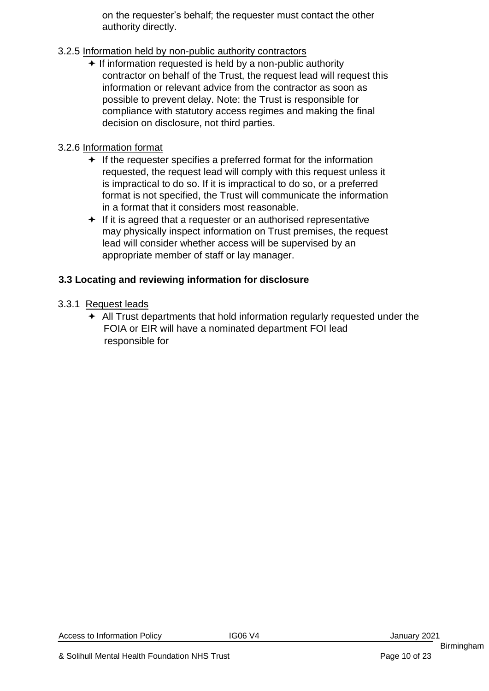on the requester's behalf; the requester must contact the other authority directly.

#### 3.2.5 Information held by non-public authority contractors

 $+$  If information requested is held by a non-public authority contractor on behalf of the Trust, the request lead will request this information or relevant advice from the contractor as soon as possible to prevent delay. Note: the Trust is responsible for compliance with statutory access regimes and making the final decision on disclosure, not third parties.

#### 3.2.6 Information format

- $\div$  If the requester specifies a preferred format for the information requested, the request lead will comply with this request unless it is impractical to do so. If it is impractical to do so, or a preferred format is not specified, the Trust will communicate the information in a format that it considers most reasonable.
- $\div$  If it is agreed that a requester or an authorised representative may physically inspect information on Trust premises, the request lead will consider whether access will be supervised by an appropriate member of staff or lay manager.

### **3.3 Locating and reviewing information for disclosure**

#### 3.3.1 Request leads

 All Trust departments that hold information regularly requested under the FOIA or EIR will have a nominated department FOI lead responsible for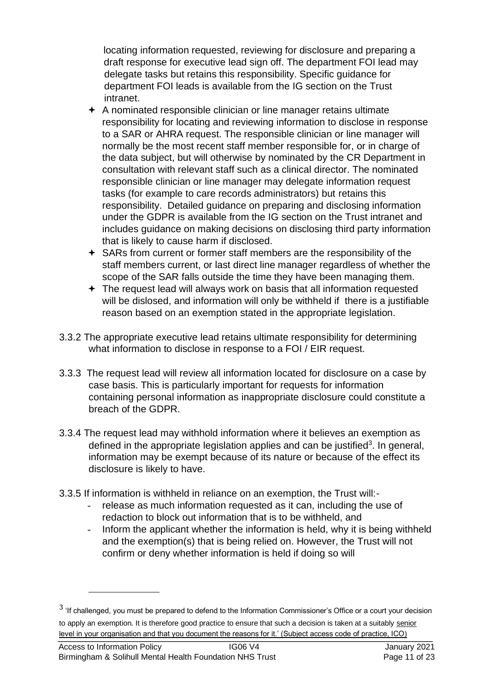locating information requested, reviewing for disclosure and preparing a draft response for executive lead sign off. The department FOI lead may delegate tasks but retains this responsibility. Specific guidance for department FOI leads is available from the IG section on the Trust intranet.

- $\div$  A nominated responsible clinician or line manager retains ultimate responsibility for locating and reviewing information to disclose in response to a SAR or AHRA request. The responsible clinician or line manager will normally be the most recent staff member responsible for, or in charge of the data subject, but will otherwise by nominated by the CR Department in consultation with relevant staff such as a clinical director. The nominated responsible clinician or line manager may delegate information request tasks (for example to care records administrators) but retains this responsibility. Detailed guidance on preparing and disclosing information under the GDPR is available from the IG section on the Trust intranet and includes guidance on making decisions on disclosing third party information that is likely to cause harm if disclosed.
- SARs from current or former staff members are the responsibility of the staff members current, or last direct line manager regardless of whether the scope of the SAR falls outside the time they have been managing them.
- The request lead will always work on basis that all information requested will be dislosed, and information will only be withheld if there is a justifiable reason based on an exemption stated in the appropriate legislation.
- 3.3.2 The appropriate executive lead retains ultimate responsibility for determining what information to disclose in response to a FOI / EIR request.
- 3.3.3 The request lead will review all information located for disclosure on a case by case basis. This is particularly important for requests for information containing personal information as inappropriate disclosure could constitute a breach of the GDPR.
- 3.3.4 The request lead may withhold information where it believes an exemption as defined in the appropriate legislation applies and can be justified<sup>3</sup>. In general, information may be exempt because of its nature or because of the effect its disclosure is likely to have.
- 3.3.5 If information is withheld in reliance on an exemption, the Trust will:
	- release as much information requested as it can, including the use of redaction to block out information that is to be withheld, and
	- Inform the applicant whether the information is held, why it is being withheld and the exemption(s) that is being relied on. However, the Trust will not confirm or deny whether information is held if doing so will

<sup>&</sup>lt;sup>3</sup> 'If challenged, you must be prepared to defend to the Information Commissioner's Office or a court your decision to apply an exemption. It is therefore good practice to ensure that such a decision is taken at a suitably senior level in your organisation and that you document the reasons for it.' (Subject access code of practice, ICO)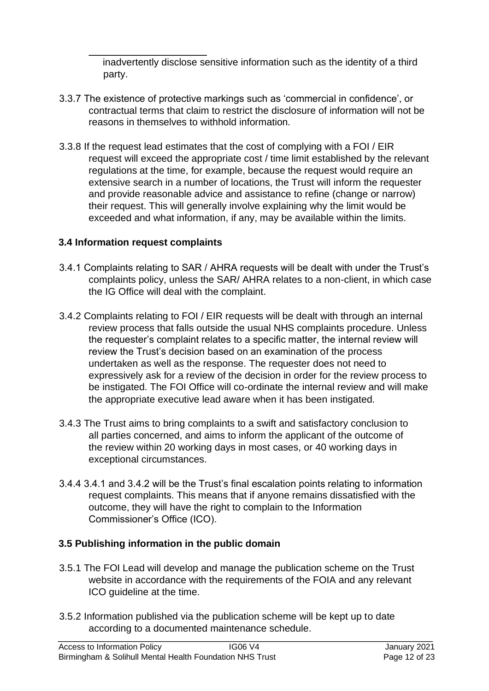inadvertently disclose sensitive information such as the identity of a third party.

- 3.3.7 The existence of protective markings such as 'commercial in confidence', or contractual terms that claim to restrict the disclosure of information will not be reasons in themselves to withhold information.
- 3.3.8 If the request lead estimates that the cost of complying with a FOI / EIR request will exceed the appropriate cost / time limit established by the relevant regulations at the time, for example, because the request would require an extensive search in a number of locations, the Trust will inform the requester and provide reasonable advice and assistance to refine (change or narrow) their request. This will generally involve explaining why the limit would be exceeded and what information, if any, may be available within the limits.

#### **3.4 Information request complaints**

- 3.4.1 Complaints relating to SAR / AHRA requests will be dealt with under the Trust's complaints policy, unless the SAR/ AHRA relates to a non-client, in which case the IG Office will deal with the complaint.
- 3.4.2 Complaints relating to FOI / EIR requests will be dealt with through an internal review process that falls outside the usual NHS complaints procedure. Unless the requester's complaint relates to a specific matter, the internal review will review the Trust's decision based on an examination of the process undertaken as well as the response. The requester does not need to expressively ask for a review of the decision in order for the review process to be instigated. The FOI Office will co-ordinate the internal review and will make the appropriate executive lead aware when it has been instigated.
- 3.4.3 The Trust aims to bring complaints to a swift and satisfactory conclusion to all parties concerned, and aims to inform the applicant of the outcome of the review within 20 working days in most cases, or 40 working days in exceptional circumstances.
- 3.4.4 3.4.1 and 3.4.2 will be the Trust's final escalation points relating to information request complaints. This means that if anyone remains dissatisfied with the outcome, they will have the right to complain to the Information Commissioner's Office (ICO).

### **3.5 Publishing information in the public domain**

- 3.5.1 The FOI Lead will develop and manage the publication scheme on the Trust website in accordance with the requirements of the FOIA and any relevant ICO guideline at the time.
- 3.5.2 Information published via the publication scheme will be kept up to date according to a documented maintenance schedule.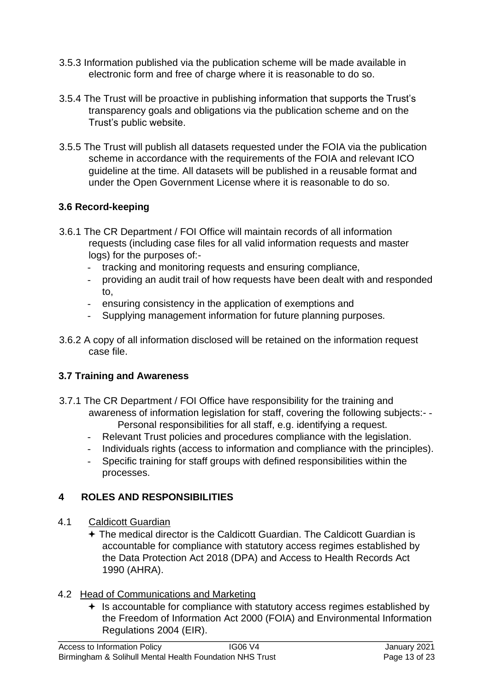- 3.5.3 Information published via the publication scheme will be made available in electronic form and free of charge where it is reasonable to do so.
- 3.5.4 The Trust will be proactive in publishing information that supports the Trust's transparency goals and obligations via the publication scheme and on the Trust's public website.
- 3.5.5 The Trust will publish all datasets requested under the FOIA via the publication scheme in accordance with the requirements of the FOIA and relevant ICO guideline at the time. All datasets will be published in a reusable format and under the Open Government License where it is reasonable to do so.

### **3.6 Record-keeping**

- 3.6.1 The CR Department / FOI Office will maintain records of all information requests (including case files for all valid information requests and master logs) for the purposes of:-
	- tracking and monitoring requests and ensuring compliance,
	- providing an audit trail of how requests have been dealt with and responded to,
	- ensuring consistency in the application of exemptions and
	- Supplying management information for future planning purposes.
- 3.6.2 A copy of all information disclosed will be retained on the information request case file.

#### **3.7 Training and Awareness**

- 3.7.1 The CR Department / FOI Office have responsibility for the training and awareness of information legislation for staff, covering the following subjects:- - Personal responsibilities for all staff, e.g. identifying a request.
	- Relevant Trust policies and procedures compliance with the legislation.
	- Individuals rights (access to information and compliance with the principles).
	- Specific training for staff groups with defined responsibilities within the processes.

#### **4 ROLES AND RESPONSIBILITIES**

- 4.1 Caldicott Guardian
	- The medical director is the Caldicott Guardian. The Caldicott Guardian is accountable for compliance with statutory access regimes established by the Data Protection Act 2018 (DPA) and Access to Health Records Act 1990 (AHRA).
- 4.2 Head of Communications and Marketing
	- <sup>+</sup> Is accountable for compliance with statutory access regimes established by the Freedom of Information Act 2000 (FOIA) and Environmental Information Regulations 2004 (EIR).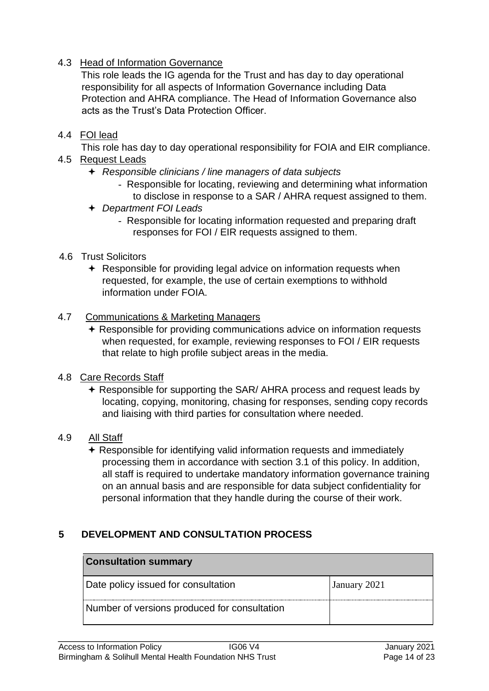#### 4.3 Head of Information Governance

This role leads the IG agenda for the Trust and has day to day operational responsibility for all aspects of Information Governance including Data Protection and AHRA compliance. The Head of Information Governance also acts as the Trust's Data Protection Officer.

#### 4.4 FOI lead

This role has day to day operational responsibility for FOIA and EIR compliance.

- 4.5 Request Leads
	- *Responsible clinicians / line managers of data subjects* 
		- Responsible for locating, reviewing and determining what information to disclose in response to a SAR / AHRA request assigned to them.
	- *Department FOI Leads* 
		- Responsible for locating information requested and preparing draft responses for FOI / EIR requests assigned to them.
- 4.6 Trust Solicitors
	- **← Responsible for providing legal advice on information requests when** requested, for example, the use of certain exemptions to withhold information under FOIA.

#### 4.7 Communications & Marketing Managers

- **★ Responsible for providing communications advice on information requests** when requested, for example, reviewing responses to FOI / EIR requests that relate to high profile subject areas in the media.
- 4.8 Care Records Staff
	- **★ Responsible for supporting the SAR/ AHRA process and request leads by** locating, copying, monitoring, chasing for responses, sending copy records and liaising with third parties for consultation where needed.
- 4.9 All Staff
	- $\triangle$  Responsible for identifying valid information requests and immediately processing them in accordance with section 3.1 of this policy. In addition, all staff is required to undertake mandatory information governance training on an annual basis and are responsible for data subject confidentiality for personal information that they handle during the course of their work.

### **5 DEVELOPMENT AND CONSULTATION PROCESS**

| <b>Consultation summary</b>                         |  |  |  |  |
|-----------------------------------------------------|--|--|--|--|
| Date policy issued for consultation<br>January 2021 |  |  |  |  |
| Number of versions produced for consultation        |  |  |  |  |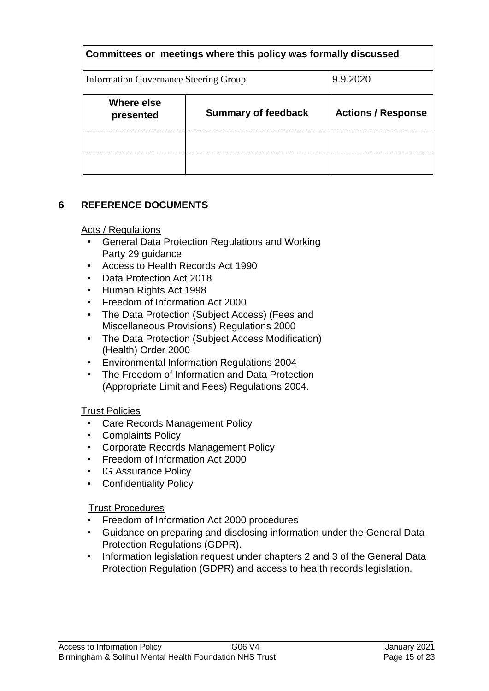| Committees or meetings where this policy was formally discussed |                            |                           |  |  |
|-----------------------------------------------------------------|----------------------------|---------------------------|--|--|
| 9.9.2020<br><b>Information Governance Steering Group</b>        |                            |                           |  |  |
| Where else<br>presented                                         | <b>Summary of feedback</b> | <b>Actions / Response</b> |  |  |
|                                                                 |                            |                           |  |  |
|                                                                 |                            |                           |  |  |

# **6 REFERENCE DOCUMENTS**

#### Acts / Regulations

- General Data Protection Regulations and Working Party 29 guidance
- Access to Health Records Act 1990
- Data Protection Act 2018
- Human Rights Act 1998
- Freedom of Information Act 2000
- The Data Protection (Subject Access) (Fees and Miscellaneous Provisions) Regulations 2000
- The Data Protection (Subject Access Modification) (Health) Order 2000
- Environmental Information Regulations 2004
- The Freedom of Information and Data Protection (Appropriate Limit and Fees) Regulations 2004.

#### Trust Policies

- Care Records Management Policy
- Complaints Policy
- Corporate Records Management Policy
- Freedom of Information Act 2000
- IG Assurance Policy
- Confidentiality Policy

#### Trust Procedures

- Freedom of Information Act 2000 procedures
- Guidance on preparing and disclosing information under the General Data Protection Regulations (GDPR).
- Information legislation request under chapters 2 and 3 of the General Data Protection Regulation (GDPR) and access to health records legislation.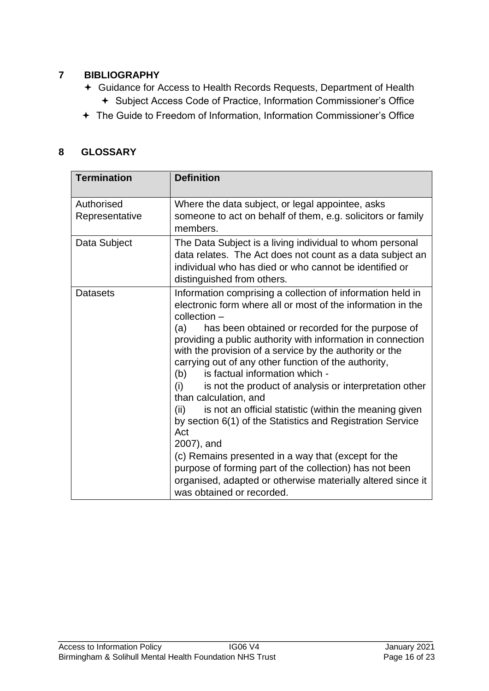# **7 BIBLIOGRAPHY**

- Guidance for Access to Health Records Requests, Department of Health
	- + Subject Access Code of Practice, Information Commissioner's Office
- The Guide to Freedom of Information, Information Commissioner's Office

#### **8 GLOSSARY**

| <b>Termination</b>           | <b>Definition</b>                                                                                                                                                                                                                                                                                                                                                                                                                                                                                                                                                                                                                                                                                                                                                                                                                                                                                     |
|------------------------------|-------------------------------------------------------------------------------------------------------------------------------------------------------------------------------------------------------------------------------------------------------------------------------------------------------------------------------------------------------------------------------------------------------------------------------------------------------------------------------------------------------------------------------------------------------------------------------------------------------------------------------------------------------------------------------------------------------------------------------------------------------------------------------------------------------------------------------------------------------------------------------------------------------|
| Authorised<br>Representative | Where the data subject, or legal appointee, asks<br>someone to act on behalf of them, e.g. solicitors or family<br>members.                                                                                                                                                                                                                                                                                                                                                                                                                                                                                                                                                                                                                                                                                                                                                                           |
| Data Subject                 | The Data Subject is a living individual to whom personal<br>data relates. The Act does not count as a data subject an<br>individual who has died or who cannot be identified or<br>distinguished from others.                                                                                                                                                                                                                                                                                                                                                                                                                                                                                                                                                                                                                                                                                         |
| <b>Datasets</b>              | Information comprising a collection of information held in<br>electronic form where all or most of the information in the<br>$\text{collection}$ –<br>has been obtained or recorded for the purpose of<br>(a)<br>providing a public authority with information in connection<br>with the provision of a service by the authority or the<br>carrying out of any other function of the authority,<br>is factual information which -<br>(b)<br>is not the product of analysis or interpretation other<br>(i)<br>than calculation, and<br>is not an official statistic (within the meaning given<br>(ii)<br>by section 6(1) of the Statistics and Registration Service<br>Act<br>2007), and<br>(c) Remains presented in a way that (except for the<br>purpose of forming part of the collection) has not been<br>organised, adapted or otherwise materially altered since it<br>was obtained or recorded. |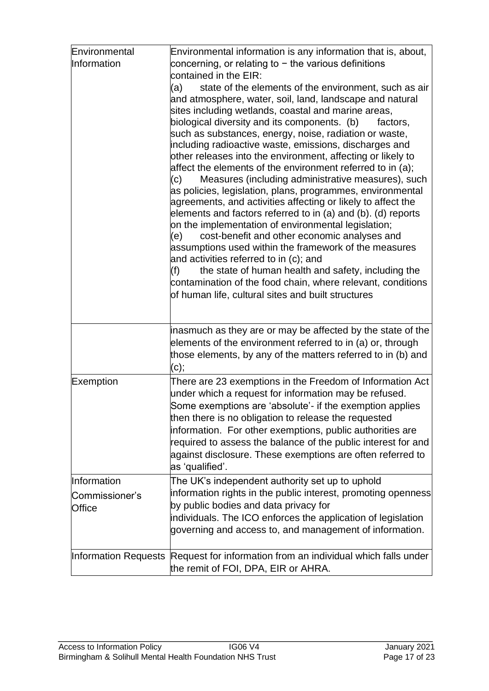| Environmental<br>Information | Environmental information is any information that is, about,<br>concerning, or relating to $-$ the various definitions<br>contained in the EIR:<br>(a)<br>state of the elements of the environment, such as air<br>and atmosphere, water, soil, land, landscape and natural<br>sites including wetlands, coastal and marine areas,<br>biological diversity and its components. (b)<br>factors,<br>such as substances, energy, noise, radiation or waste,<br>including radioactive waste, emissions, discharges and<br>other releases into the environment, affecting or likely to<br>affect the elements of the environment referred to in (a);<br>Measures (including administrative measures), such<br>(c)<br>as policies, legislation, plans, programmes, environmental<br>agreements, and activities affecting or likely to affect the<br>elements and factors referred to in (a) and (b). (d) reports<br>on the implementation of environmental legislation;<br>cost-benefit and other economic analyses and<br>(e)<br>assumptions used within the framework of the measures<br>and activities referred to in (c); and<br>(f)<br>the state of human health and safety, including the<br>contamination of the food chain, where relevant, conditions<br>of human life, cultural sites and built structures |
|------------------------------|----------------------------------------------------------------------------------------------------------------------------------------------------------------------------------------------------------------------------------------------------------------------------------------------------------------------------------------------------------------------------------------------------------------------------------------------------------------------------------------------------------------------------------------------------------------------------------------------------------------------------------------------------------------------------------------------------------------------------------------------------------------------------------------------------------------------------------------------------------------------------------------------------------------------------------------------------------------------------------------------------------------------------------------------------------------------------------------------------------------------------------------------------------------------------------------------------------------------------------------------------------------------------------------------------------------|
|                              | inasmuch as they are or may be affected by the state of the<br>elements of the environment referred to in (a) or, through<br>those elements, by any of the matters referred to in (b) and<br>(c);                                                                                                                                                                                                                                                                                                                                                                                                                                                                                                                                                                                                                                                                                                                                                                                                                                                                                                                                                                                                                                                                                                              |
| Exemption                    | There are 23 exemptions in the Freedom of Information Act<br>under which a request for information may be refused.<br>Some exemptions are 'absolute'- if the exemption applies<br>then there is no obligation to release the requested<br>information. For other exemptions, public authorities are<br>required to assess the balance of the public interest for and<br>against disclosure. These exemptions are often referred to<br>as 'qualified'.                                                                                                                                                                                                                                                                                                                                                                                                                                                                                                                                                                                                                                                                                                                                                                                                                                                          |
| Information                  | The UK's independent authority set up to uphold                                                                                                                                                                                                                                                                                                                                                                                                                                                                                                                                                                                                                                                                                                                                                                                                                                                                                                                                                                                                                                                                                                                                                                                                                                                                |
| Commissioner's               | information rights in the public interest, promoting openness                                                                                                                                                                                                                                                                                                                                                                                                                                                                                                                                                                                                                                                                                                                                                                                                                                                                                                                                                                                                                                                                                                                                                                                                                                                  |
| <b>Office</b>                | by public bodies and data privacy for<br>individuals. The ICO enforces the application of legislation<br>governing and access to, and management of information.                                                                                                                                                                                                                                                                                                                                                                                                                                                                                                                                                                                                                                                                                                                                                                                                                                                                                                                                                                                                                                                                                                                                               |
|                              | Information Requests Request for information from an individual which falls under<br>the remit of FOI, DPA, EIR or AHRA.                                                                                                                                                                                                                                                                                                                                                                                                                                                                                                                                                                                                                                                                                                                                                                                                                                                                                                                                                                                                                                                                                                                                                                                       |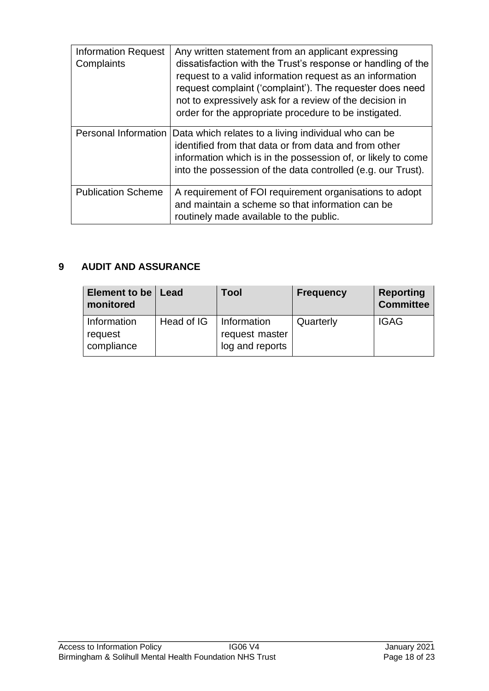| <b>Information Request</b><br>Complaints | Any written statement from an applicant expressing<br>dissatisfaction with the Trust's response or handling of the<br>request to a valid information request as an information<br>request complaint ('complaint'). The requester does need<br>not to expressively ask for a review of the decision in<br>order for the appropriate procedure to be instigated. |
|------------------------------------------|----------------------------------------------------------------------------------------------------------------------------------------------------------------------------------------------------------------------------------------------------------------------------------------------------------------------------------------------------------------|
| Personal Information                     | Data which relates to a living individual who can be<br>identified from that data or from data and from other<br>information which is in the possession of, or likely to come<br>into the possession of the data controlled (e.g. our Trust).                                                                                                                  |
| <b>Publication Scheme</b>                | A requirement of FOI requirement organisations to adopt<br>and maintain a scheme so that information can be<br>routinely made available to the public.                                                                                                                                                                                                         |

# **9 AUDIT AND ASSURANCE**

| Element to be   Lead<br>monitored    |            | Tool                                             | <b>Frequency</b> | <b>Reporting</b><br><b>Committee</b> |
|--------------------------------------|------------|--------------------------------------------------|------------------|--------------------------------------|
| Information<br>request<br>compliance | Head of IG | Information<br>request master<br>log and reports | Quarterly        | <b>IGAG</b>                          |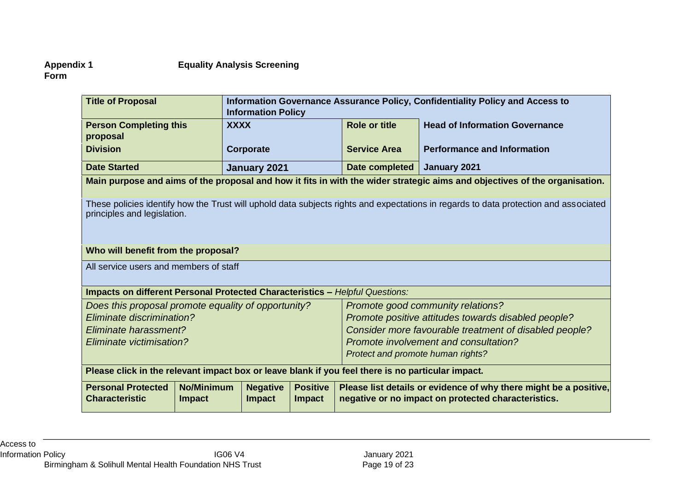# **Appendix 1 Equality Analysis Screening**

**Form** 

| <b>Title of Proposal</b>                                                                                                                                            |                                    | Information Governance Assurance Policy, Confidentiality Policy and Access to<br><b>Information Policy</b> |                                  |                      |                                                                                                                            |
|---------------------------------------------------------------------------------------------------------------------------------------------------------------------|------------------------------------|------------------------------------------------------------------------------------------------------------|----------------------------------|----------------------|----------------------------------------------------------------------------------------------------------------------------|
| <b>Person Completing this</b><br>proposal                                                                                                                           | <b>XXXX</b>                        |                                                                                                            |                                  | <b>Role or title</b> | <b>Head of Information Governance</b>                                                                                      |
| <b>Division</b>                                                                                                                                                     |                                    | <b>Corporate</b>                                                                                           |                                  | <b>Service Area</b>  | <b>Performance and Information</b>                                                                                         |
| <b>Date Started</b>                                                                                                                                                 |                                    | January 2021                                                                                               |                                  | Date completed       | January 2021                                                                                                               |
|                                                                                                                                                                     |                                    |                                                                                                            |                                  |                      | Main purpose and aims of the proposal and how it fits in with the wider strategic aims and objectives of the organisation. |
| These policies identify how the Trust will uphold data subjects rights and expectations in regards to data protection and associated<br>principles and legislation. |                                    |                                                                                                            |                                  |                      |                                                                                                                            |
| Who will benefit from the proposal?                                                                                                                                 |                                    |                                                                                                            |                                  |                      |                                                                                                                            |
| All service users and members of staff                                                                                                                              |                                    |                                                                                                            |                                  |                      |                                                                                                                            |
| <b>Impacts on different Personal Protected Characteristics - Helpful Questions:</b>                                                                                 |                                    |                                                                                                            |                                  |                      |                                                                                                                            |
| Does this proposal promote equality of opportunity?                                                                                                                 |                                    |                                                                                                            |                                  |                      | Promote good community relations?                                                                                          |
| Eliminate discrimination?                                                                                                                                           |                                    |                                                                                                            |                                  |                      | Promote positive attitudes towards disabled people?                                                                        |
| Eliminate harassment?                                                                                                                                               |                                    |                                                                                                            |                                  |                      | Consider more favourable treatment of disabled people?                                                                     |
| Eliminate victimisation?                                                                                                                                            |                                    |                                                                                                            |                                  |                      | Promote involvement and consultation?                                                                                      |
|                                                                                                                                                                     | Protect and promote human rights?  |                                                                                                            |                                  |                      |                                                                                                                            |
| Please click in the relevant impact box or leave blank if you feel there is no particular impact.                                                                   |                                    |                                                                                                            |                                  |                      |                                                                                                                            |
| <b>Personal Protected</b><br><b>Characteristic</b>                                                                                                                  | <b>No/Minimum</b><br><b>Impact</b> | <b>Negative</b><br><b>Impact</b>                                                                           | <b>Positive</b><br><b>Impact</b> |                      | Please list details or evidence of why there might be a positive,<br>negative or no impact on protected characteristics.   |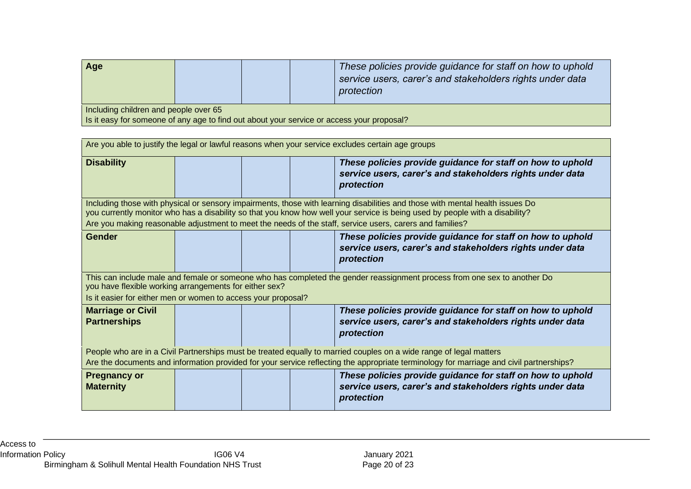| <b>Age</b>                                                                                  |  |  |  | These policies provide guidance for staff on how to uphold<br>service users, carer's and stakeholders rights under data<br>protection |  |
|---------------------------------------------------------------------------------------------|--|--|--|---------------------------------------------------------------------------------------------------------------------------------------|--|
| Including children and people over 65                                                       |  |  |  |                                                                                                                                       |  |
| I is it easy for someone of any age to find out about your service or access your proposal? |  |  |  |                                                                                                                                       |  |

| Are you able to justify the legal or lawful reasons when your service excludes certain age groups                                                                                                                                                             |  |  |  |                                                                                                                                       |  |  |
|---------------------------------------------------------------------------------------------------------------------------------------------------------------------------------------------------------------------------------------------------------------|--|--|--|---------------------------------------------------------------------------------------------------------------------------------------|--|--|
| <b>Disability</b>                                                                                                                                                                                                                                             |  |  |  | These policies provide guidance for staff on how to uphold<br>service users, carer's and stakeholders rights under data<br>protection |  |  |
| Including those with physical or sensory impairments, those with learning disabilities and those with mental health issues Do<br>you currently monitor who has a disability so that you know how well your service is being used by people with a disability? |  |  |  |                                                                                                                                       |  |  |
|                                                                                                                                                                                                                                                               |  |  |  | Are you making reasonable adjustment to meet the needs of the staff, service users, carers and families?                              |  |  |
| <b>Gender</b>                                                                                                                                                                                                                                                 |  |  |  | These policies provide guidance for staff on how to uphold<br>service users, carer's and stakeholders rights under data<br>protection |  |  |
| This can include male and female or someone who has completed the gender reassignment process from one sex to another Do<br>you have flexible working arrangements for either sex?                                                                            |  |  |  |                                                                                                                                       |  |  |
| Is it easier for either men or women to access your proposal?                                                                                                                                                                                                 |  |  |  |                                                                                                                                       |  |  |
| <b>Marriage or Civil</b><br><b>Partnerships</b>                                                                                                                                                                                                               |  |  |  | These policies provide guidance for staff on how to uphold<br>service users, carer's and stakeholders rights under data<br>protection |  |  |
| People who are in a Civil Partnerships must be treated equally to married couples on a wide range of legal matters                                                                                                                                            |  |  |  |                                                                                                                                       |  |  |
| Are the documents and information provided for your service reflecting the appropriate terminology for marriage and civil partnerships?                                                                                                                       |  |  |  |                                                                                                                                       |  |  |
| <b>Pregnancy or</b><br><b>Maternity</b>                                                                                                                                                                                                                       |  |  |  | These policies provide guidance for staff on how to uphold<br>service users, carer's and stakeholders rights under data<br>protection |  |  |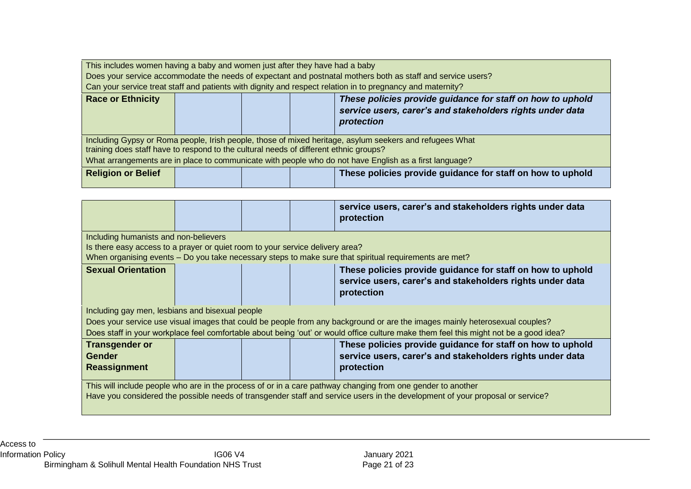| This includes women having a baby and women just after they have had a baby                                                                                                                      |                                                                                                                                       |  |  |                                                            |  |
|--------------------------------------------------------------------------------------------------------------------------------------------------------------------------------------------------|---------------------------------------------------------------------------------------------------------------------------------------|--|--|------------------------------------------------------------|--|
|                                                                                                                                                                                                  |                                                                                                                                       |  |  |                                                            |  |
| Does your service accommodate the needs of expectant and postnatal mothers both as staff and service users?                                                                                      |                                                                                                                                       |  |  |                                                            |  |
| Can your service treat staff and patients with dignity and respect relation in to pregnancy and maternity?                                                                                       |                                                                                                                                       |  |  |                                                            |  |
| <b>Race or Ethnicity</b>                                                                                                                                                                         | These policies provide guidance for staff on how to uphold<br>service users, carer's and stakeholders rights under data<br>protection |  |  |                                                            |  |
| Including Gypsy or Roma people, Irish people, those of mixed heritage, asylum seekers and refugees What<br>training does staff have to respond to the cultural needs of different ethnic groups? |                                                                                                                                       |  |  |                                                            |  |
| What arrangements are in place to communicate with people who do not have English as a first language?                                                                                           |                                                                                                                                       |  |  |                                                            |  |
| <b>Religion or Belief</b>                                                                                                                                                                        |                                                                                                                                       |  |  | These policies provide guidance for staff on how to uphold |  |

|                                                                                                                                                                                                                                                                      |                                                                                                                                       |  |  | service users, carer's and stakeholders rights under data<br>protection                                                               |  |
|----------------------------------------------------------------------------------------------------------------------------------------------------------------------------------------------------------------------------------------------------------------------|---------------------------------------------------------------------------------------------------------------------------------------|--|--|---------------------------------------------------------------------------------------------------------------------------------------|--|
| Including humanists and non-believers                                                                                                                                                                                                                                |                                                                                                                                       |  |  |                                                                                                                                       |  |
| Is there easy access to a prayer or quiet room to your service delivery area?<br>When organising events – Do you take necessary steps to make sure that spiritual requirements are met?                                                                              |                                                                                                                                       |  |  |                                                                                                                                       |  |
| <b>Sexual Orientation</b>                                                                                                                                                                                                                                            | These policies provide guidance for staff on how to uphold<br>service users, carer's and stakeholders rights under data<br>protection |  |  |                                                                                                                                       |  |
| Including gay men, lesbians and bisexual people                                                                                                                                                                                                                      |                                                                                                                                       |  |  |                                                                                                                                       |  |
| Does your service use visual images that could be people from any background or are the images mainly heterosexual couples?<br>Does staff in your workplace feel comfortable about being 'out' or would office culture make them feel this might not be a good idea? |                                                                                                                                       |  |  |                                                                                                                                       |  |
| <b>Transgender or</b><br><b>Gender</b><br><b>Reassignment</b>                                                                                                                                                                                                        |                                                                                                                                       |  |  | These policies provide guidance for staff on how to uphold<br>service users, carer's and stakeholders rights under data<br>protection |  |
| This will include people who are in the process of or in a care pathway changing from one gender to another<br>Have you considered the possible needs of transgender staff and service users in the development of your proposal or service?                         |                                                                                                                                       |  |  |                                                                                                                                       |  |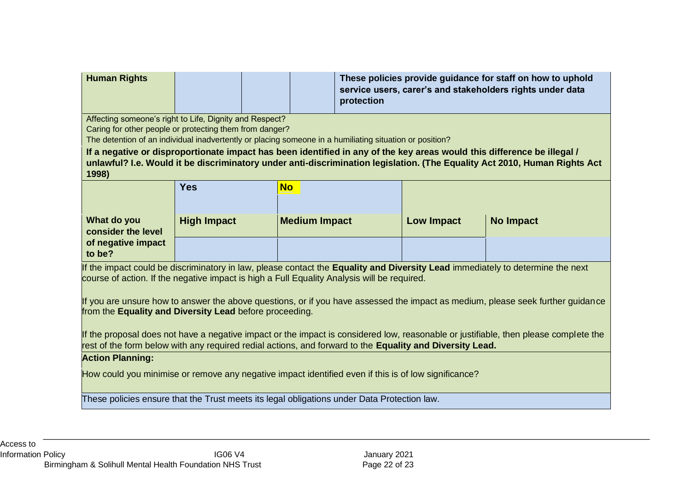| <b>Human Rights</b>                                                                                                                                                                                                                                           |                                                         |                      | protection |                   | These policies provide guidance for staff on how to uphold<br>service users, carer's and stakeholders rights under data |  |  |  |  |
|---------------------------------------------------------------------------------------------------------------------------------------------------------------------------------------------------------------------------------------------------------------|---------------------------------------------------------|----------------------|------------|-------------------|-------------------------------------------------------------------------------------------------------------------------|--|--|--|--|
|                                                                                                                                                                                                                                                               | Affecting someone's right to Life, Dignity and Respect? |                      |            |                   |                                                                                                                         |  |  |  |  |
| Caring for other people or protecting them from danger?<br>The detention of an individual inadvertently or placing someone in a humiliating situation or position?                                                                                            |                                                         |                      |            |                   |                                                                                                                         |  |  |  |  |
|                                                                                                                                                                                                                                                               |                                                         |                      |            |                   |                                                                                                                         |  |  |  |  |
| If a negative or disproportionate impact has been identified in any of the key areas would this difference be illegal /<br>unlawful? I.e. Would it be discriminatory under anti-discrimination legislation. (The Equality Act 2010, Human Rights Act<br>1998) |                                                         |                      |            |                   |                                                                                                                         |  |  |  |  |
|                                                                                                                                                                                                                                                               | <b>Yes</b>                                              | <b>No</b>            |            |                   |                                                                                                                         |  |  |  |  |
|                                                                                                                                                                                                                                                               |                                                         |                      |            |                   |                                                                                                                         |  |  |  |  |
| What do you<br>consider the level                                                                                                                                                                                                                             | <b>High Impact</b>                                      | <b>Medium Impact</b> |            | <b>Low Impact</b> | <b>No Impact</b>                                                                                                        |  |  |  |  |
| of negative impact<br>to be?                                                                                                                                                                                                                                  |                                                         |                      |            |                   |                                                                                                                         |  |  |  |  |
| If the impact could be discriminatory in law, please contact the Equality and Diversity Lead immediately to determine the next<br>course of action. If the negative impact is high a Full Equality Analysis will be required.                                 |                                                         |                      |            |                   |                                                                                                                         |  |  |  |  |
| If you are unsure how to answer the above questions, or if you have assessed the impact as medium, please seek further guidance<br>from the Equality and Diversity Lead before proceeding.                                                                    |                                                         |                      |            |                   |                                                                                                                         |  |  |  |  |
| If the proposal does not have a negative impact or the impact is considered low, reasonable or justifiable, then please complete the                                                                                                                          |                                                         |                      |            |                   |                                                                                                                         |  |  |  |  |
| rest of the form below with any required redial actions, and forward to the <b>Equality and Diversity Lead.</b>                                                                                                                                               |                                                         |                      |            |                   |                                                                                                                         |  |  |  |  |
| <b>Action Planning:</b>                                                                                                                                                                                                                                       |                                                         |                      |            |                   |                                                                                                                         |  |  |  |  |
| How could you minimise or remove any negative impact identified even if this is of low significance?                                                                                                                                                          |                                                         |                      |            |                   |                                                                                                                         |  |  |  |  |
| These policies ensure that the Trust meets its legal obligations under Data Protection law.                                                                                                                                                                   |                                                         |                      |            |                   |                                                                                                                         |  |  |  |  |